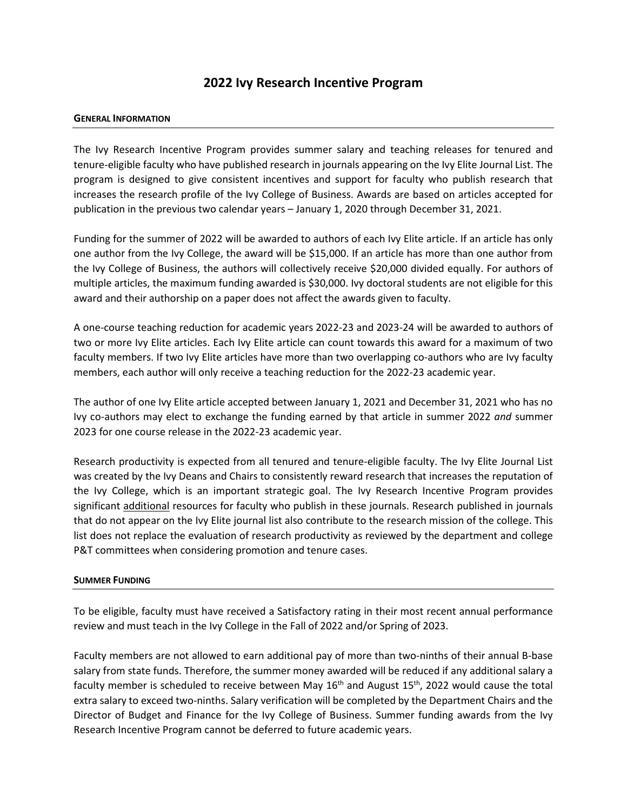# **2022 Ivy Research Incentive Program**

### **GENERAL INFORMATION**

The Ivy Research Incentive Program provides summer salary and teaching releases for tenured and tenure-eligible faculty who have published research in journals appearing on the Ivy Elite Journal List. The program is designed to give consistent incentives and support for faculty who publish research that increases the research profile of the Ivy College of Business. Awards are based on articles accepted for publication in the previous two calendar years – January 1, 2020 through December 31, 2021.

Funding for the summer of 2022 will be awarded to authors of each Ivy Elite article. If an article has only one author from the Ivy College, the award will be \$15,000. If an article has more than one author from the Ivy College of Business, the authors will collectively receive \$20,000 divided equally. For authors of multiple articles, the maximum funding awarded is \$30,000. Ivy doctoral students are not eligible for this award and their authorship on a paper does not affect the awards given to faculty.

A one-course teaching reduction for academic years 2022-23 and 2023-24 will be awarded to authors of two or more Ivy Elite articles. Each Ivy Elite article can count towards this award for a maximum of two faculty members. If two Ivy Elite articles have more than two overlapping co-authors who are Ivy faculty members, each author will only receive a teaching reduction for the 2022-23 academic year.

The author of one Ivy Elite article accepted between January 1, 2021 and December 31, 2021 who has no Ivy co-authors may elect to exchange the funding earned by that article in summer 2022 *and* summer 2023 for one course release in the 2022-23 academic year.

Research productivity is expected from all tenured and tenure-eligible faculty. The Ivy Elite Journal List was created by the Ivy Deans and Chairs to consistently reward research that increases the reputation of the Ivy College, which is an important strategic goal. The Ivy Research Incentive Program provides significant additional resources for faculty who publish in these journals. Research published in journals that do not appear on the Ivy Elite journal list also contribute to the research mission of the college. This list does not replace the evaluation of research productivity as reviewed by the department and college P&T committees when considering promotion and tenure cases.

### **SUMMER FUNDING**

To be eligible, faculty must have received a Satisfactory rating in their most recent annual performance review and must teach in the Ivy College in the Fall of 2022 and/or Spring of 2023.

Faculty members are not allowed to earn additional pay of more than two-ninths of their annual B-base salary from state funds. Therefore, the summer money awarded will be reduced if any additional salary a faculty member is scheduled to receive between May  $16<sup>th</sup>$  and August  $15<sup>th</sup>$ , 2022 would cause the total extra salary to exceed two-ninths. Salary verification will be completed by the Department Chairs and the Director of Budget and Finance for the Ivy College of Business. Summer funding awards from the Ivy Research Incentive Program cannot be deferred to future academic years.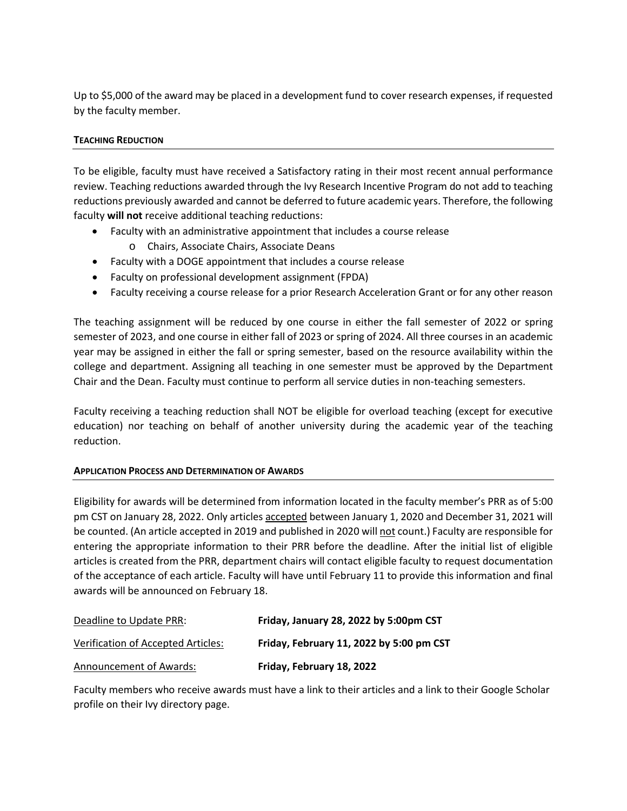Up to \$5,000 of the award may be placed in a development fund to cover research expenses, if requested by the faculty member.

# **TEACHING REDUCTION**

To be eligible, faculty must have received a Satisfactory rating in their most recent annual performance review. Teaching reductions awarded through the Ivy Research Incentive Program do not add to teaching reductions previously awarded and cannot be deferred to future academic years. Therefore, the following faculty **will not** receive additional teaching reductions:

- Faculty with an administrative appointment that includes a course release
	- o Chairs, Associate Chairs, Associate Deans
- Faculty with a DOGE appointment that includes a course release
- Faculty on professional development assignment (FPDA)
- Faculty receiving a course release for a prior Research Acceleration Grant or for any other reason

The teaching assignment will be reduced by one course in either the fall semester of 2022 or spring semester of 2023, and one course in either fall of 2023 or spring of 2024. All three courses in an academic year may be assigned in either the fall or spring semester, based on the resource availability within the college and department. Assigning all teaching in one semester must be approved by the Department Chair and the Dean. Faculty must continue to perform all service duties in non-teaching semesters.

Faculty receiving a teaching reduction shall NOT be eligible for overload teaching (except for executive education) nor teaching on behalf of another university during the academic year of the teaching reduction.

## **APPLICATION PROCESS AND DETERMINATION OF AWARDS**

Eligibility for awards will be determined from information located in the faculty member's PRR as of 5:00 pm CST on January 28, 2022. Only articles accepted between January 1, 2020 and December 31, 2021 will be counted. (An article accepted in 2019 and published in 2020 will not count.) Faculty are responsible for entering the appropriate information to their PRR before the deadline. After the initial list of eligible articles is created from the PRR, department chairs will contact eligible faculty to request documentation of the acceptance of each article. Faculty will have until February 11 to provide this information and final awards will be announced on February 18.

| Deadline to Update PRR:            | Friday, January 28, 2022 by 5:00pm CST   |
|------------------------------------|------------------------------------------|
| Verification of Accepted Articles: | Friday, February 11, 2022 by 5:00 pm CST |
| Announcement of Awards:            | Friday, February 18, 2022                |

Faculty members who receive awards must have a link to their articles and a link to their Google Scholar profile on their Ivy directory page.